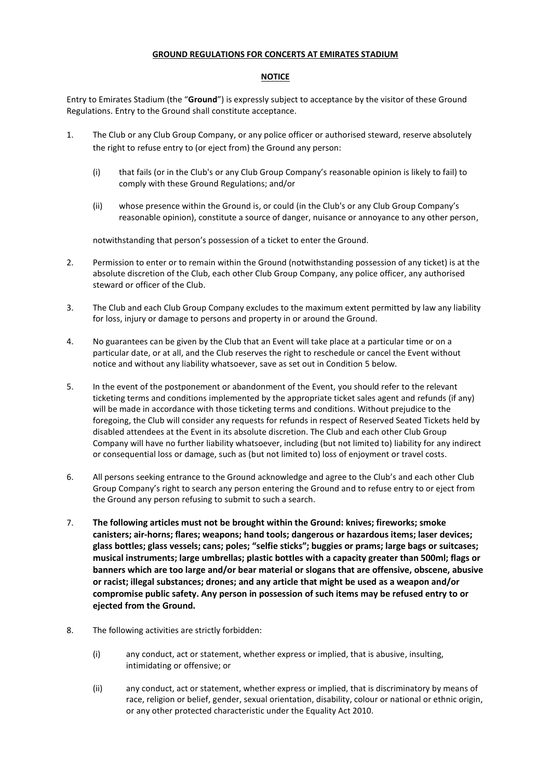## **GROUND REGULATIONS FOR CONCERTS AT EMIRATES STADIUM**

## **NOTICE**

Entry to Emirates Stadium (the "**Ground**") is expressly subject to acceptance by the visitor of these Ground Regulations. Entry to the Ground shall constitute acceptance.

- 1. The Club or any Club Group Company, or any police officer or authorised steward, reserve absolutely the right to refuse entry to (or eject from) the Ground any person:
	- (i) that fails (or in the Club's or any Club Group Company's reasonable opinion is likely to fail) to comply with these Ground Regulations; and/or
	- (ii) whose presence within the Ground is, or could (in the Club's or any Club Group Company's reasonable opinion), constitute a source of danger, nuisance or annoyance to any other person,

notwithstanding that person's possession of a ticket to enter the Ground.

- 2. Permission to enter or to remain within the Ground (notwithstanding possession of any ticket) is at the absolute discretion of the Club, each other Club Group Company, any police officer, any authorised steward or officer of the Club.
- 3. The Club and each Club Group Company excludes to the maximum extent permitted by law any liability for loss, injury or damage to persons and property in or around the Ground.
- 4. No guarantees can be given by the Club that an Event will take place at a particular time or on a particular date, or at all, and the Club reserves the right to reschedule or cancel the Event without notice and without any liability whatsoever, save as set out in Condition 5 below.
- 5. In the event of the postponement or abandonment of the Event, you should refer to the relevant ticketing terms and conditions implemented by the appropriate ticket sales agent and refunds (if any) will be made in accordance with those ticketing terms and conditions. Without prejudice to the foregoing, the Club will consider any requests for refunds in respect of Reserved Seated Tickets held by disabled attendees at the Event in its absolute discretion. The Club and each other Club Group Company will have no further liability whatsoever, including (but not limited to) liability for any indirect or consequential loss or damage, such as (but not limited to) loss of enjoyment or travel costs.
- 6. All persons seeking entrance to the Ground acknowledge and agree to the Club's and each other Club Group Company's right to search any person entering the Ground and to refuse entry to or eject from the Ground any person refusing to submit to such a search.
- 7. **The following articles must not be brought within the Ground: knives; fireworks; smoke canisters; air-horns; flares; weapons; hand tools; dangerous or hazardous items; laser devices; glass bottles; glass vessels; cans; poles; "selfie sticks"; buggies or prams; large bags or suitcases; musical instruments; large umbrellas; plastic bottles with a capacity greater than 500ml; flags or banners which are too large and/or bear material or slogans that are offensive, obscene, abusive or racist; illegal substances; drones; and any article that might be used as a weapon and/or compromise public safety. Any person in possession of such items may be refused entry to or ejected from the Ground.**
- 8. The following activities are strictly forbidden:
	- (i) any conduct, act or statement, whether express or implied, that is abusive, insulting, intimidating or offensive; or
	- (ii) any conduct, act or statement, whether express or implied, that is discriminatory by means of race, religion or belief, gender, sexual orientation, disability, colour or national or ethnic origin, or any other protected characteristic under the Equality Act 2010.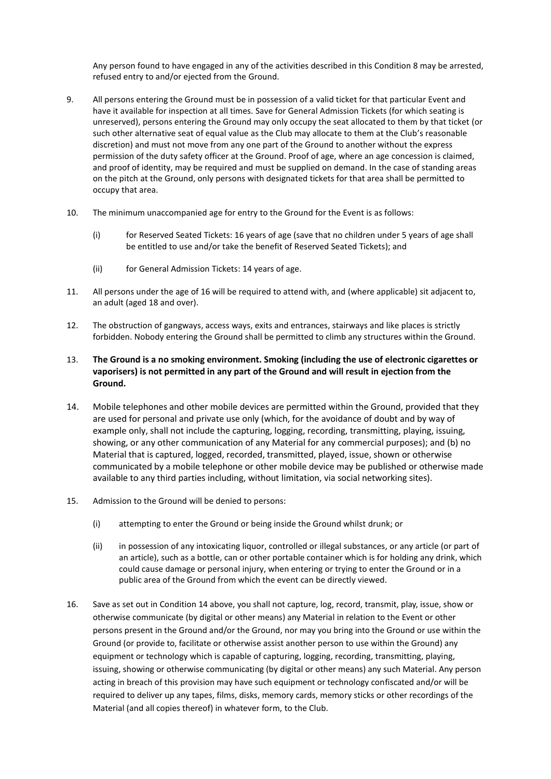Any person found to have engaged in any of the activities described in this Condition 8 may be arrested, refused entry to and/or ejected from the Ground.

- 9. All persons entering the Ground must be in possession of a valid ticket for that particular Event and have it available for inspection at all times. Save for General Admission Tickets (for which seating is unreserved), persons entering the Ground may only occupy the seat allocated to them by that ticket (or such other alternative seat of equal value as the Club may allocate to them at the Club's reasonable discretion) and must not move from any one part of the Ground to another without the express permission of the duty safety officer at the Ground. Proof of age, where an age concession is claimed, and proof of identity, may be required and must be supplied on demand. In the case of standing areas on the pitch at the Ground, only persons with designated tickets for that area shall be permitted to occupy that area.
- 10. The minimum unaccompanied age for entry to the Ground for the Event is as follows:
	- (i) for Reserved Seated Tickets: 16 years of age (save that no children under 5 years of age shall be entitled to use and/or take the benefit of Reserved Seated Tickets); and
	- (ii) for General Admission Tickets: 14 years of age.
- 11. All persons under the age of 16 will be required to attend with, and (where applicable) sit adjacent to, an adult (aged 18 and over).
- 12. The obstruction of gangways, access ways, exits and entrances, stairways and like places is strictly forbidden. Nobody entering the Ground shall be permitted to climb any structures within the Ground.
- 13. **The Ground is a no smoking environment. Smoking (including the use of electronic cigarettes or vaporisers) is not permitted in any part of the Ground and will result in ejection from the Ground.**
- 14. Mobile telephones and other mobile devices are permitted within the Ground, provided that they are used for personal and private use only (which, for the avoidance of doubt and by way of example only, shall not include the capturing, logging, recording, transmitting, playing, issuing, showing, or any other communication of any Material for any commercial purposes); and (b) no Material that is captured, logged, recorded, transmitted, played, issue, shown or otherwise communicated by a mobile telephone or other mobile device may be published or otherwise made available to any third parties including, without limitation, via social networking sites).
- 15. Admission to the Ground will be denied to persons:
	- (i) attempting to enter the Ground or being inside the Ground whilst drunk; or
	- (ii) in possession of any intoxicating liquor, controlled or illegal substances, or any article (or part of an article), such as a bottle, can or other portable container which is for holding any drink, which could cause damage or personal injury, when entering or trying to enter the Ground or in a public area of the Ground from which the event can be directly viewed.
- 16. Save as set out in Condition 14 above, you shall not capture, log, record, transmit, play, issue, show or otherwise communicate (by digital or other means) any Material in relation to the Event or other persons present in the Ground and/or the Ground, nor may you bring into the Ground or use within the Ground (or provide to, facilitate or otherwise assist another person to use within the Ground) any equipment or technology which is capable of capturing, logging, recording, transmitting, playing, issuing, showing or otherwise communicating (by digital or other means) any such Material. Any person acting in breach of this provision may have such equipment or technology confiscated and/or will be required to deliver up any tapes, films, disks, memory cards, memory sticks or other recordings of the Material (and all copies thereof) in whatever form, to the Club.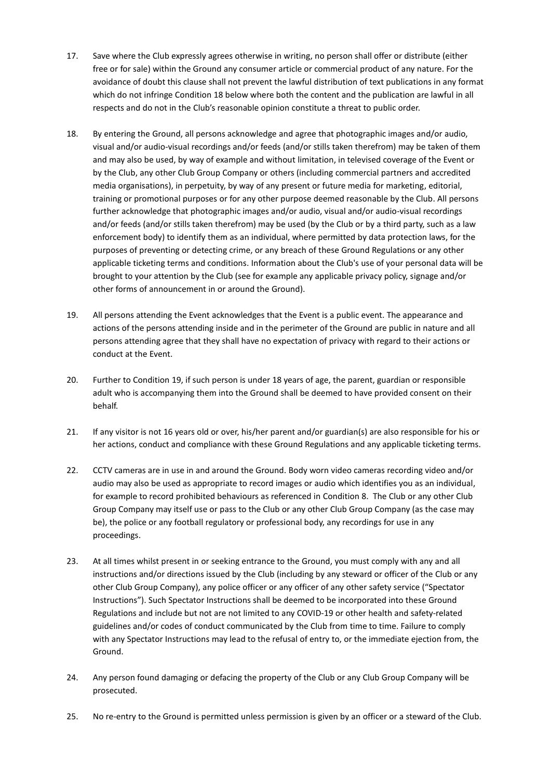- 17. Save where the Club expressly agrees otherwise in writing, no person shall offer or distribute (either free or for sale) within the Ground any consumer article or commercial product of any nature. For the avoidance of doubt this clause shall not prevent the lawful distribution of text publications in any format which do not infringe Condition 18 below where both the content and the publication are lawful in all respects and do not in the Club's reasonable opinion constitute a threat to public order.
- 18. By entering the Ground, all persons acknowledge and agree that photographic images and/or audio, visual and/or audio-visual recordings and/or feeds (and/or stills taken therefrom) may be taken of them and may also be used, by way of example and without limitation, in televised coverage of the Event or by the Club, any other Club Group Company or others (including commercial partners and accredited media organisations), in perpetuity, by way of any present or future media for marketing, editorial, training or promotional purposes or for any other purpose deemed reasonable by the Club. All persons further acknowledge that photographic images and/or audio, visual and/or audio-visual recordings and/or feeds (and/or stills taken therefrom) may be used (by the Club or by a third party, such as a law enforcement body) to identify them as an individual, where permitted by data protection laws, for the purposes of preventing or detecting crime, or any breach of these Ground Regulations or any other applicable ticketing terms and conditions. Information about the Club's use of your personal data will be brought to your attention by the Club (see for example any applicable privacy policy, signage and/or other forms of announcement in or around the Ground).
- 19. All persons attending the Event acknowledges that the Event is a public event. The appearance and actions of the persons attending inside and in the perimeter of the Ground are public in nature and all persons attending agree that they shall have no expectation of privacy with regard to their actions or conduct at the Event.
- 20. Further to Condition 19, if such person is under 18 years of age, the parent, guardian or responsible adult who is accompanying them into the Ground shall be deemed to have provided consent on their behalf.
- 21. If any visitor is not 16 years old or over, his/her parent and/or guardian(s) are also responsible for his or her actions, conduct and compliance with these Ground Regulations and any applicable ticketing terms.
- 22. CCTV cameras are in use in and around the Ground. Body worn video cameras recording video and/or audio may also be used as appropriate to record images or audio which identifies you as an individual, for example to record prohibited behaviours as referenced in Condition 8. The Club or any other Club Group Company may itself use or pass to the Club or any other Club Group Company (as the case may be), the police or any football regulatory or professional body, any recordings for use in any proceedings.
- 23. At all times whilst present in or seeking entrance to the Ground, you must comply with any and all instructions and/or directions issued by the Club (including by any steward or officer of the Club or any other Club Group Company), any police officer or any officer of any other safety service ("Spectator Instructions"). Such Spectator Instructions shall be deemed to be incorporated into these Ground Regulations and include but not are not limited to any COVID-19 or other health and safety-related guidelines and/or codes of conduct communicated by the Club from time to time. Failure to comply with any Spectator Instructions may lead to the refusal of entry to, or the immediate ejection from, the Ground.
- 24. Any person found damaging or defacing the property of the Club or any Club Group Company will be prosecuted.
- 25. No re-entry to the Ground is permitted unless permission is given by an officer or a steward of the Club.